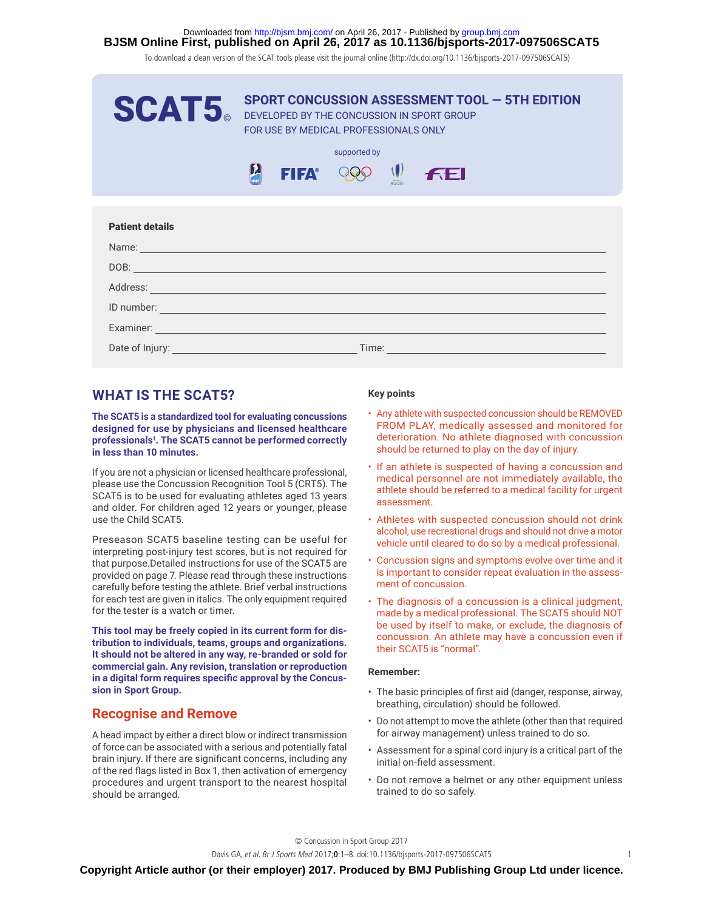### **BJSM Online First, published on April 26, 2017 as 10.1136/bjsports-2017-097506SCAT5** Downloaded from http://bjsm.bmj.com/ on April 26, 2017 - Published by group.bmj.com

To download a clean version of the SCAT tools please visit the journal online (http://dx.doi.org/10.1136/bjsports-2017-097506SCAT5)

| <b>SCAT5.</b>                                                                                                                                                                                                                        |                  | <b>SPORT CONCUSSION ASSESSMENT TOOL - 5TH EDITION</b><br>DEVELOPED BY THE CONCUSSION IN SPORT GROUP<br>FOR USE BY MEDICAL PROFESSIONALS ONLY |              |              |         |  |  |  |  |
|--------------------------------------------------------------------------------------------------------------------------------------------------------------------------------------------------------------------------------------|------------------|----------------------------------------------------------------------------------------------------------------------------------------------|--------------|--------------|---------|--|--|--|--|
|                                                                                                                                                                                                                                      |                  |                                                                                                                                              | supported by |              |         |  |  |  |  |
|                                                                                                                                                                                                                                      | $\boldsymbol{p}$ | <b>FIFA®</b>                                                                                                                                 | 999          | $\mathbf{U}$ | $ F$ FI |  |  |  |  |
|                                                                                                                                                                                                                                      |                  |                                                                                                                                              |              |              |         |  |  |  |  |
| <b>Patient details</b>                                                                                                                                                                                                               |                  |                                                                                                                                              |              |              |         |  |  |  |  |
| Name: Name: Name: Name: Name: Name: Name: Name: Name: Name: Name: Name: Name: Name: Name: Name: Name: Name: Name: Name: Name: Name: Name: Name: Name: Name: Name: Name: Name: Name: Name: Name: Name: Name: Name: Name: Name:        |                  |                                                                                                                                              |              |              |         |  |  |  |  |
|                                                                                                                                                                                                                                      |                  |                                                                                                                                              |              |              |         |  |  |  |  |
| Address: Note and the contract of the contract of the contract of the contract of the contract of the contract of the contract of the contract of the contract of the contract of the contract of the contract of the contract       |                  |                                                                                                                                              |              |              |         |  |  |  |  |
| ID number: <u>with the contract of the contract of the contract of the contract of the contract of the contract of the contract of the contract of the contract of the contract of the contract of the contract of the contract </u> |                  |                                                                                                                                              |              |              |         |  |  |  |  |
|                                                                                                                                                                                                                                      |                  |                                                                                                                                              |              |              |         |  |  |  |  |
| Date of Injury: Note that the same state of the state of the state of the state of the state of the state of the state of the state of the state of the state of the state of the state of the state of the state of the state       |                  |                                                                                                                                              |              |              |         |  |  |  |  |

### **WHAT IS THE SCAT5?**

**The SCAT5 is a standardized tool for evaluating concussions designed for use by physicians and licensed healthcare professionals1 . The SCAT5 cannot be performed correctly in less than 10 minutes.**

If you are not a physician or licensed healthcare professional, please use the Concussion Recognition Tool 5 (CRT5). The SCAT5 is to be used for evaluating athletes aged 13 years and older. For children aged 12 years or younger, please use the Child SCAT5.

Preseason SCAT5 baseline testing can be useful for interpreting post-injury test scores, but is not required for that purpose.Detailed instructions for use of the SCAT5 are provided on page 7. Please read through these instructions carefully before testing the athlete. Brief verbal instructions for each test are given in italics. The only equipment required for the tester is a watch or timer.

**This tool may be freely copied in its current form for distribution to individuals, teams, groups and organizations. It should not be altered in any way, re-branded or sold for commercial gain. Any revision, translation or reproduction in a digital form requires specific approval by the Concussion in Sport Group.**

### **Recognise and Remove**

A head impact by either a direct blow or indirect transmission of force can be associated with a serious and potentially fatal brain injury. If there are significant concerns, including any of the red flags listed in Box 1, then activation of emergency procedures and urgent transport to the nearest hospital should be arranged.

### **Key points**

- Any athlete with suspected concussion should be REMOVED FROM PLAY, medically assessed and monitored for deterioration. No athlete diagnosed with concussion should be returned to play on the day of injury.
- If an athlete is suspected of having a concussion and medical personnel are not immediately available, the athlete should be referred to a medical facility for urgent assessment.
- Athletes with suspected concussion should not drink alcohol, use recreational drugs and should not drive a motor vehicle until cleared to do so by a medical professional.
- Concussion signs and symptoms evolve over time and it is important to consider repeat evaluation in the assessment of concussion.
- The diagnosis of a concussion is a clinical judgment, made by a medical professional. The SCAT5 should NOT be used by itself to make, or exclude, the diagnosis of concussion. An athlete may have a concussion even if their SCAT5 is "normal".

### **Remember:**

- The basic principles of first aid (danger, response, airway, breathing, circulation) should be followed.
- Do not attempt to move the athlete (other than that required for airway management) unless trained to do so.
- Assessment for a spinal cord injury is a critical part of the initial on-field assessment.
- Do not remove a helmet or any other equipment unless trained to do so safely.

1

Davis GA, et al. Br J Sports Med 2017;0:1-8. doi:10.1136/bjsports-2017-097506SCAT5 © Concussion in Sport Group 2017

**Copyright Article author (or their employer) 2017. Produced by BMJ Publishing Group Ltd under licence.**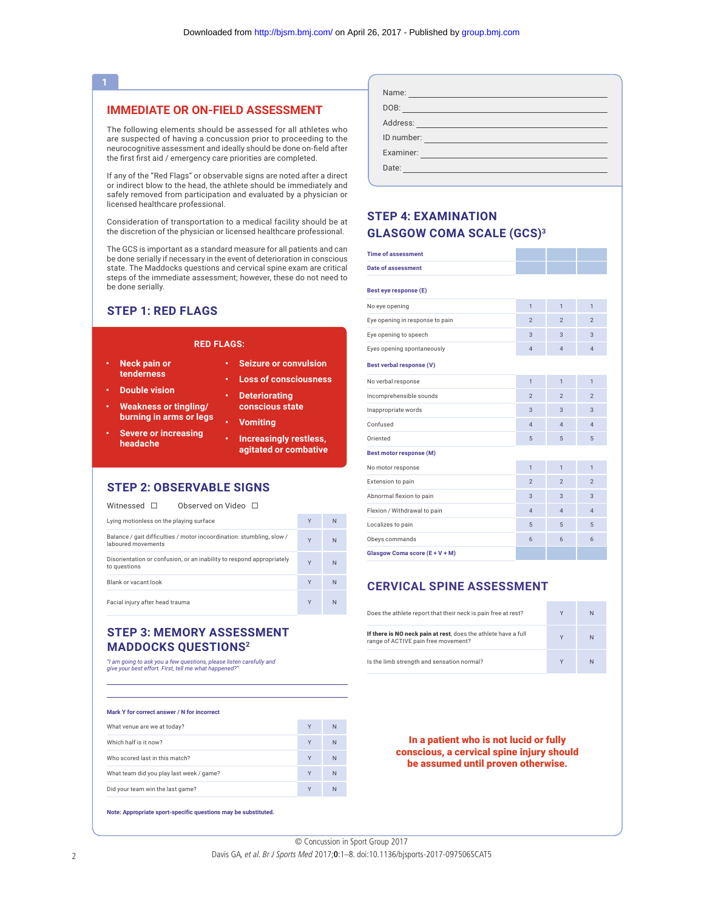### **IMMEDIATE OR ON-FIELD ASSESSMENT**

The following elements should be assessed for all athletes who are suspected of having a concussion prior to proceeding to the neurocognitive assessment and ideally should be done on-field after the first first aid / emergency care priorities are completed.

If any of the "Red Flags" or observable signs are noted after a direct or indirect blow to the head, the athlete should be immediately and safely removed from participation and evaluated by a physician or licensed healthcare professional.

Consideration of transportation to a medical facility should be at the discretion of the physician or licensed healthcare professional.

The GCS is important as a standard measure for all patients and can be done serially if necessary in the event of deterioration in conscious state. The Maddocks questions and cervical spine exam are critical steps of the immediate assessment; however, these do not need to be done serially.

### **STEP 1: RED FLAGS**

### **RED FLAGS:**

- **Neck pain or tenderness**
- **Double vision**
- 
- **Weakness or tingling/ burning in arms or legs**
- **Severe or increasing headache**
- **Increasingly restless, agitated or combative**

**• Deteriorating conscious state • Vomiting**

**• Seizure or convulsion • Loss of consciousness**

### **STEP 2: OBSERVABLE SIGNS**

| Observed on Video $\Box$<br>Witnessed $\square$                                             |   |   |
|---------------------------------------------------------------------------------------------|---|---|
| Lying motionless on the playing surface                                                     | Y | N |
| Balance / gait difficulties / motor incoordination: stumbling, slow /<br>laboured movements | Y | N |
| Disorientation or confusion, or an inability to respond appropriately<br>to questions       | Y | N |
| Blank or vacant look                                                                        | Y | N |
| Facial injury after head trauma                                                             | Y | N |

### **STEP 3: MEMORY ASSESSMENT MADDOCKS QUESTIONS2**

*"I am going to ask you a few questions, please listen carefully and give your best effort. First, tell me what happened?"*

#### **Mark Y for correct answer / N for incorrect**

| What venue are we at today?              | Υ |   |
|------------------------------------------|---|---|
| Which half is it now?                    | Y |   |
| Who scored last in this match?           | Υ |   |
| What team did you play last week / game? | Υ | N |
| Did your team win the last game?         | Y |   |

**Note: Appropriate sport-specific questions may be substituted.**

| Name:      |                                                                                                      |  |
|------------|------------------------------------------------------------------------------------------------------|--|
| DOB:       | and the control of the control of the control of the control of the control of the control of        |  |
|            | Address: Address: Address: Address: Address: Address: Address: Address: Address: Address: Address: A |  |
| ID number: |                                                                                                      |  |
| Examiner:  |                                                                                                      |  |
| Date:      |                                                                                                      |  |

### **STEP 4: EXAMINATION GLASGOW COMA SCALE (GCS)3**

| <b>Time of assessment</b>       |                |                |                |
|---------------------------------|----------------|----------------|----------------|
| Date of assessment              |                |                |                |
| <b>Best eye response (E)</b>    |                |                |                |
| No eye opening                  | $\overline{1}$ | $\mathbf{1}$   | $\mathbf{1}$   |
| Eye opening in response to pain | $\overline{2}$ | $\mathfrak{D}$ | $\mathfrak{D}$ |
| Eye opening to speech           | 3              | 3              | 3              |
| Eyes opening spontaneously      | $\overline{4}$ | $\overline{4}$ | $\overline{4}$ |
| <b>Best verbal response (V)</b> |                |                |                |
| No verbal response              | $\overline{1}$ | $\mathbf{1}$   | $\mathbf{1}$   |
| Incomprehensible sounds         | $\overline{2}$ | $\mathfrak{D}$ | $\mathfrak{D}$ |
| Inappropriate words             | 3              | $\overline{3}$ | 3              |
| Confused                        | $\overline{4}$ | $\overline{4}$ | $\overline{4}$ |
| Oriented                        | 5              | 5              | 5              |
| <b>Best motor response (M)</b>  |                |                |                |
| No motor response               | $\overline{1}$ | $\mathbf{1}$   | $\mathbf{1}$   |
| Extension to pain               | $\mathfrak{D}$ | $\mathfrak{D}$ | $\mathfrak{D}$ |
| Abnormal flexion to pain        | $\overline{3}$ | 3              | $\overline{3}$ |
| Flexion / Withdrawal to pain    | $\overline{4}$ | $\overline{4}$ | $\overline{4}$ |
| Localizes to pain               | 5              | 5              | 5              |
| Obeys commands                  | 6              | 6              | 6              |
| Glasgow Coma score (E + V + M)  |                |                |                |

### **CERVICAL SPINE ASSESSMENT**

| Does the athlete report that their neck is pain free at rest?                                         |   | N |
|-------------------------------------------------------------------------------------------------------|---|---|
| If there is NO neck pain at rest, does the athlete have a full<br>range of ACTIVE pain free movement? | V | N |
| Is the limb strength and sensation normal?                                                            |   | N |

### In a patient who is not lucid or fully conscious, a cervical spine injury should be assumed until proven otherwise.

### Davis GA, et al. Br J Sports Med 2017;**0**:1–8. doi:10.1136/bjsports-2017-097506SCAT5 © Concussion in Sport Group 2017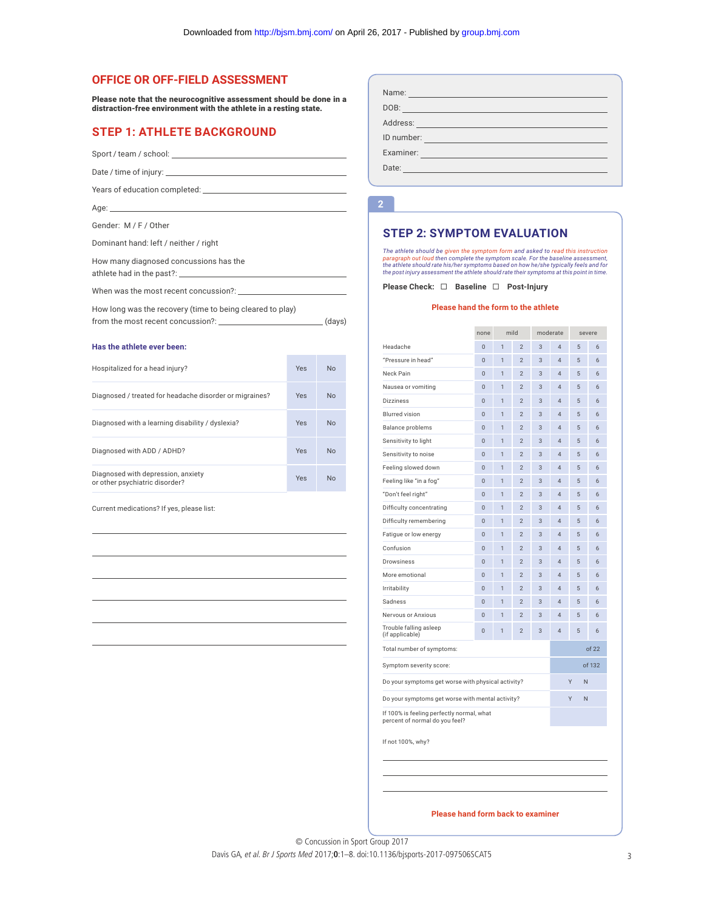### **OFFICE OR OFF-FIELD ASSESSMENT**

Please note that the neurocognitive assessment should be done in a distraction-free environment with the athlete in a resting state.

### **STEP 1: ATHLETE BACKGROUND**

Sport / team / school: \_\_\_\_

Date / time of injury: \_\_

Years of education completed: \_\_\_\_\_

Age: \_

Gender: M / F / Other

Dominant hand: left / neither / right

How many diagnosed concussions has the

athlete had in the past?:

When was the most recent concussion?: \_\_\_

How long was the recovery (time to being cleared to play)

from the most recent concussion?: \_\_\_\_\_\_\_\_\_\_\_\_\_\_\_\_\_\_\_\_\_\_\_\_\_\_\_\_\_\_(days)

### **Has the athlete ever been:**

| Hospitalized for a head injury?                                      | Yes | No        |
|----------------------------------------------------------------------|-----|-----------|
| Diagnosed / treated for headache disorder or migraines?              | Yes | <b>No</b> |
| Diagnosed with a learning disability / dyslexia?                     | Yes | <b>No</b> |
| Diagnosed with ADD / ADHD?                                           | Yes | No        |
| Diagnosed with depression, anxiety<br>or other psychiatric disorder? | Yes | No        |

Current medications? If yes, please list:

|  | DOB: | Address: No. 1996. The Committee of the Committee of the Committee of the Committee of the Committee of the Committee of the Committee of the Committee of the Committee of the Committee of the Committee of the Committee of<br><u> 1980 - Johann Barnett, fransk politik (</u><br><u> 1989 - Johann Barn, mars an t-Amerikaansk kommunister (</u> |
|--|------|------------------------------------------------------------------------------------------------------------------------------------------------------------------------------------------------------------------------------------------------------------------------------------------------------------------------------------------------------|

### **STEP 2: SYMPTOM EVALUATION**

The athlete should be given the symptom form and asked to read this instruction<br>paragraph out loud then complete the symptom scale. For the baseline assessment,<br>the athlete should rate his/her symptoms based on how he/she

**Please Check:** □ Baseline □ Post-Injury

#### **Please hand the form to the athlete**

|                                                                             | none           |                | mild                     | moderate       | severe         |   |       |
|-----------------------------------------------------------------------------|----------------|----------------|--------------------------|----------------|----------------|---|-------|
| Headache                                                                    | $\overline{0}$ | $\mathbf{1}$   | $\overline{2}$           | 3              | $\overline{4}$ | 5 | 6     |
| "Pressure in head"                                                          | $\Omega$       | $\overline{1}$ | $\overline{\phantom{0}}$ | 3              | $\overline{4}$ | 5 | 6     |
| Neck Pain                                                                   | $\overline{0}$ | $\mathbf{1}$   | $\overline{2}$           | 3              | $\overline{4}$ | 5 | 6     |
| Nausea or vomiting                                                          | $\overline{0}$ | 1              | $\overline{2}$           | 3              | $\overline{4}$ | 5 | 6     |
| <b>Dizziness</b>                                                            | $\overline{0}$ | 1              | $\overline{2}$           | 3              | $\overline{4}$ | 5 | 6     |
| <b>Blurred vision</b>                                                       | $\Omega$       | $\overline{1}$ | $\overline{2}$           | 3              | $\overline{4}$ | 5 | 6     |
| <b>Balance problems</b>                                                     | $\Omega$       | $\overline{1}$ | $\mathfrak{p}$           | 3              | $\overline{4}$ | 5 | 6     |
| Sensitivity to light                                                        | $\Omega$       | 1              | $\overline{\phantom{0}}$ | 3              | $\overline{4}$ | 5 | 6     |
| Sensitivity to noise                                                        | $\overline{0}$ | 1              | $\overline{2}$           | 3              | 4              | 5 | 6     |
| Feeling slowed down                                                         | $\Omega$       | 1              | $\overline{\phantom{0}}$ | 3              | 4              | 5 | 6     |
| Feeling like "in a fog"                                                     | $\Omega$       | 1              | $\overline{\phantom{0}}$ | 3              | $\overline{4}$ | 5 | 6     |
| "Don't feel right"                                                          | $\overline{0}$ | 1              | $\overline{2}$           | 3              | 4              | 5 | 6     |
| Difficulty concentrating                                                    | $\Omega$       | $\overline{1}$ | $\overline{2}$           | $\overline{3}$ | $\overline{4}$ | 5 | 6     |
| Difficulty remembering                                                      | $\Omega$       | 1              | $\overline{2}$           | 3              | $\overline{4}$ | 5 | 6     |
| Fatique or low energy                                                       | $\Omega$       | 1              | $\overline{\phantom{0}}$ | $\overline{3}$ | $\overline{4}$ | 5 | 6     |
| Confusion                                                                   | $\Omega$       | $\mathbf{1}$   | $\mathfrak{D}$           | 3              | $\overline{4}$ | 5 | 6     |
| Drowsiness                                                                  | $\Omega$       | $\mathbf{1}$   | $\mathfrak{p}$           | 3              | $\overline{4}$ | 5 | 6     |
| More emotional                                                              | $\Omega$       | $\mathbf{1}$   | $\mathfrak{D}$           | 3              | 4              | 5 | 6     |
| Irritability                                                                | $\Omega$       | $\mathbf{1}$   | $\mathfrak{p}$           | 3              | $\overline{4}$ | 5 | 6     |
| Sadness                                                                     | $\Omega$       | $\mathbf{1}$   | $\mathfrak{D}$           | 3              | $\overline{4}$ | 5 | 6     |
| Nervous or Anxious                                                          | $\Omega$       | $\mathbf{1}$   | $\mathfrak{p}$           | 3              | $\overline{4}$ | 5 | 6     |
| Trouble falling asleep<br>(if applicable)                                   | $\overline{0}$ | $\mathbf{1}$   | $\overline{2}$           | 3              | $\overline{4}$ | 5 | 6     |
| Total number of symptoms:                                                   |                |                |                          |                |                |   | of 22 |
| Symptom severity score:                                                     |                |                | of 132                   |                |                |   |       |
| Do your symptoms get worse with physical activity?                          |                | Y<br>N         |                          |                |                |   |       |
| Do your symptoms get worse with mental activity?                            |                | Υ<br>N         |                          |                |                |   |       |
| If 100% is feeling perfectly normal, what<br>percent of normal do you feel? |                |                |                          |                |                |   |       |

If not 100%, why?

**Please hand form back to examiner**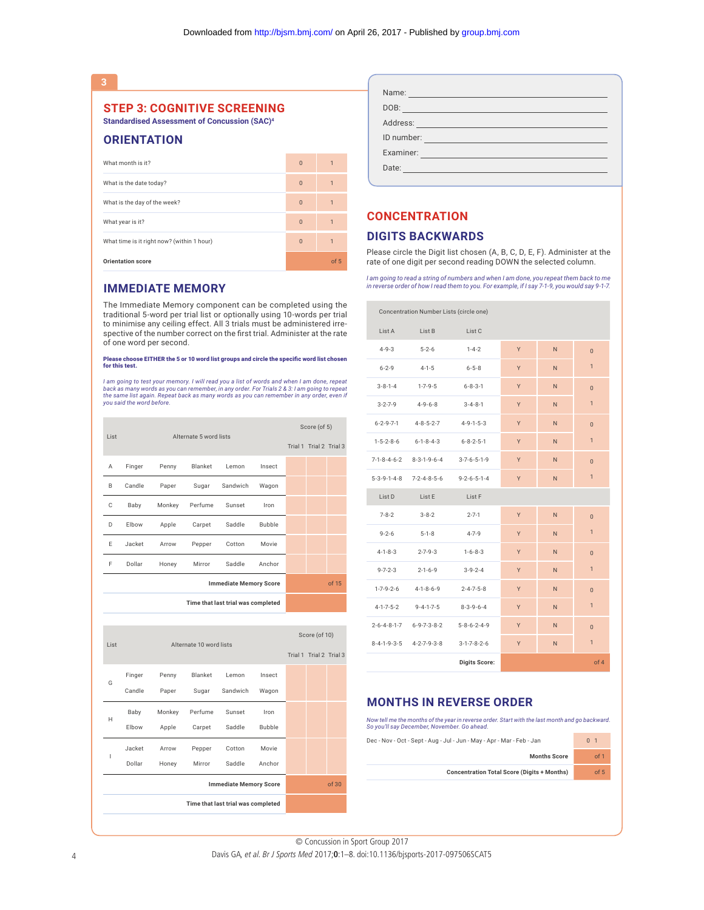## **STEP 3: COGNITIVE SCREENING**

**Standardised Assessment of Concussion (SAC)4**

### **ORIENTATION**

| What month is it?                          | $\overline{0}$ | 1    |
|--------------------------------------------|----------------|------|
| What is the date today?                    | $\Omega$       | 1    |
| What is the day of the week?               | $\Omega$       | 1    |
| What year is it?                           | $\Omega$       | 1    |
| What time is it right now? (within 1 hour) | $\Omega$       | 1    |
| <b>Orientation score</b>                   |                | of 5 |

| Name:      |
|------------|
| DOB:       |
|            |
| ID number: |
| Examiner:  |
| Date:      |

### **CONCENTRATION**

### **DIGITS BACKWARDS**

Concentration Number Lists (circle one) List A List B List C

Please circle the Digit list chosen (A, B, C, D, E, F). Administer at the rate of one digit per second reading DOWN the selected column.

*I am going to read a string of numbers and when I am done, you repeat them back to me in reverse order of how I read them to you. For example, if I say 7-1-9, you would say 9-1-7.*

### **IMMEDIATE MEMORY**

List **Alternate 10** 

The Immediate Memory component can be completed using the traditional 5-word per trial list or optionally using 10-words per trial to minimise any ceiling effect. All 3 trials must be administered irrespective of the number correct on the first trial. Administer at the rate of one word per second.

#### Please choose EITHER the 5 or 10 word list groups and circle the specific word list chosen for this test.

I am going to test your memory. I will read you a list of words and when I am done, repeat<br>back as many words as you can remember, in any order. For Trials 2 & 3: I am going to repeat<br>the same list again. Repeat back as ma

| List |                               |        | Score (of 5) |                                            |        |  |  |                         |
|------|-------------------------------|--------|--------------|--------------------------------------------|--------|--|--|-------------------------|
|      | Alternate 5 word lists        |        |              |                                            |        |  |  | Trial 1 Trial 2 Trial 3 |
| A    | Finger                        | Penny  | Blanket      | Lemon                                      | Insect |  |  |                         |
| B    | Candle                        | Paper  | Sugar        | Sandwich                                   | Wagon  |  |  |                         |
| Ċ    | Baby                          | Monkey | Perfume      | Sunset                                     | Iron   |  |  |                         |
| D    | Elbow                         | Apple  | Carpet       | Saddle                                     | Bubble |  |  |                         |
| F    | Jacket                        | Arrow  | Pepper       | Cotton                                     | Movie  |  |  |                         |
| F    | Dollar                        | Honey  | Mirror       | Saddle                                     | Anchor |  |  |                         |
|      | <b>Immediate Memory Score</b> |        |              |                                            |        |  |  | of 15                   |
|      |                               |        |              | Thus a About Long Auto Linear Annual adopt |        |  |  |                         |

|                   |                                    |               |                         |       | $4 - 1 - 8 - 3$         | $7 - 7 - 9 - 3$                          |                |
|-------------------|------------------------------------|---------------|-------------------------|-------|-------------------------|------------------------------------------|----------------|
| Mirror            | Saddle                             | Anchor        |                         |       |                         |                                          |                |
|                   |                                    |               |                         |       | $9 - 7 - 2 - 3$         | $2 - 1 - 6 - 9$                          | ć              |
|                   | <b>Immediate Memory Score</b>      |               |                         | of 15 | $1 - 7 - 9 - 2 - 6$     | $4 - 1 - 8 - 6 - 9$                      |                |
|                   |                                    |               |                         |       |                         |                                          | 2 <sup>1</sup> |
|                   | Time that last trial was completed |               |                         |       | $4 - 1 - 7 - 5 - 2$     | $9 - 4 - 1 - 7 - 5$                      | $8 -$          |
|                   |                                    |               |                         |       | $2 - 6 - 4 - 8 - 1 - 7$ | $6 - 9 - 7 - 3 - 8 - 2$                  | $5 - 8$        |
|                   |                                    |               | Score (of 10)           |       |                         |                                          |                |
| ate 10 word lists |                                    |               |                         |       | $8 - 4 - 1 - 9 - 3 - 5$ | $4 - 2 - 7 - 9 - 3 - 8$                  | $3 -$          |
|                   |                                    |               | Trial 1 Trial 2 Trial 3 |       |                         |                                          | Di             |
| Blanket           | Lemon                              | Insect        |                         |       |                         |                                          |                |
| Sugar             | Sandwich                           | Wagon         |                         |       |                         |                                          |                |
|                   |                                    |               |                         |       |                         | <b>MONTHS IN REVE</b>                    |                |
| Perfume           | Sunset                             | Iron          |                         |       |                         | Now tell me the months of the year in re |                |
| Carpet            | Saddle                             | <b>Bubble</b> |                         |       |                         | So you'll say December, November. G      |                |
| Pepper            | Cotton                             | Movie         |                         |       |                         | Dec - Nov - Oct - Sept - Aug - Jul - Jun |                |
|                   |                                    |               |                         |       |                         |                                          |                |

| $4 - 9 - 3$         | $5 - 2 - 6$                         | $1 - 4 - 2$             | Y | N | $\overline{0}$ |
|---------------------|-------------------------------------|-------------------------|---|---|----------------|
| $6 - 2 - 9$         | $4 - 1 - 5$                         | $6 - 5 - 8$             | Y | N | $\mathbf{1}$   |
| $3 - 8 - 1 - 4$     | $1 - 7 - 9 - 5$                     | $6 - 8 - 3 - 1$         | Y | N | $\overline{0}$ |
| $3 - 2 - 7 - 9$     | $4 - 9 - 6 - 8$                     | $3 - 4 - 8 - 1$         | Y | N | 1              |
| $6 - 2 - 9 - 7 - 1$ | $4 - 8 - 5 - 2 - 7$                 | $4 - 9 - 1 - 5 - 3$     | Y | N | $\overline{0}$ |
|                     | $1-5-2-8-6$ 6-1-8-4-3               | $6 - 8 - 2 - 5 - 1$     | Y | N | $\overline{1}$ |
|                     | 7-1-8-4-6-2 8-3-1-9-6-4 3-7-6-5-1-9 |                         | Y | N | $\overline{0}$ |
|                     | 5-3-9-1-4-8 7-2-4-8-5-6 9-2-6-5-1-4 |                         | Y | N | $\mathbf{1}$   |
| List D              | List E                              | List F                  |   |   |                |
| $7 - 8 - 2$         | $3 - 8 - 2$                         | $2 - 7 - 1$             | Y | N | $\overline{0}$ |
| $9 - 2 - 6$         | $5 - 1 - 8$                         | $4 - 7 - 9$             | Y | N | $\mathbf{1}$   |
| $4 - 1 - 8 - 3$     | $2 - 7 - 9 - 3$                     | $1 - 6 - 8 - 3$         | Y | N | $\Omega$       |
| $9 - 7 - 2 - 3$     | $2 - 1 - 6 - 9$                     | $3-9-2-4$               | Y | N | $\mathbf{1}$   |
| $1 - 7 - 9 - 2 - 6$ | $4 - 1 - 8 - 6 - 9$                 | $2 - 4 - 7 - 5 - 8$     | Y | N | $\overline{0}$ |
| $4 - 1 - 7 - 5 - 2$ | $9 - 4 - 1 - 7 - 5$                 | $8 - 3 - 9 - 6 - 4$     | Y | N | $\mathbf{1}$   |
|                     | 2-6-4-8-1-7 6-9-7-3-8-2 5-8-6-2-4-9 |                         | Y | N | $\overline{0}$ |
|                     | 8-4-1-9-3-5 4-2-7-9-3-8             | $3 - 1 - 7 - 8 - 2 - 6$ | Y | N | $\mathbf{1}$   |
|                     |                                     | <b>Digits Score:</b>    |   |   | of 4           |

### **ERSE ORDER**

*Now tell me the months of the year in reverse order. Start with the last month and go backward.*   $\overline{a}$  *b* ahead.

| Dec - Nov - Oct - Sept - Aug - Jul - Jun - May - Apr - Mar - Feb - Jan |                 |  |
|------------------------------------------------------------------------|-----------------|--|
| <b>Months Score</b>                                                    | of 1            |  |
| <b>Concentration Total Score (Digits + Months)</b>                     | of <sub>5</sub> |  |

|   |        |        |         |                                    |        | Trial 1 Trial 2 Trial |       |
|---|--------|--------|---------|------------------------------------|--------|-----------------------|-------|
|   | Finger | Penny  | Blanket | Lemon                              | Insect |                       |       |
| G | Candle | Paper  | Sugar   | Sandwich                           | Wagon  |                       |       |
|   | Baby   | Monkey | Perfume | Sunset                             | Iron   |                       |       |
| н | Elbow  | Apple  | Carpet  | Saddle                             | Bubble |                       |       |
|   | Jacket | Arrow  | Pepper  | Cotton                             | Movie  |                       |       |
| ı | Dollar | Honey  | Mirror  | Saddle                             | Anchor |                       |       |
|   |        |        |         | <b>Immediate Memory Score</b>      |        |                       | of 30 |
|   |        |        |         | Time that last trial was completed |        |                       |       |

Davis GA, et al. Br J Sports Med 2017;**0**:1–8. doi:10.1136/bjsports-2017-097506SCAT5 © Concussion in Sport Group 2017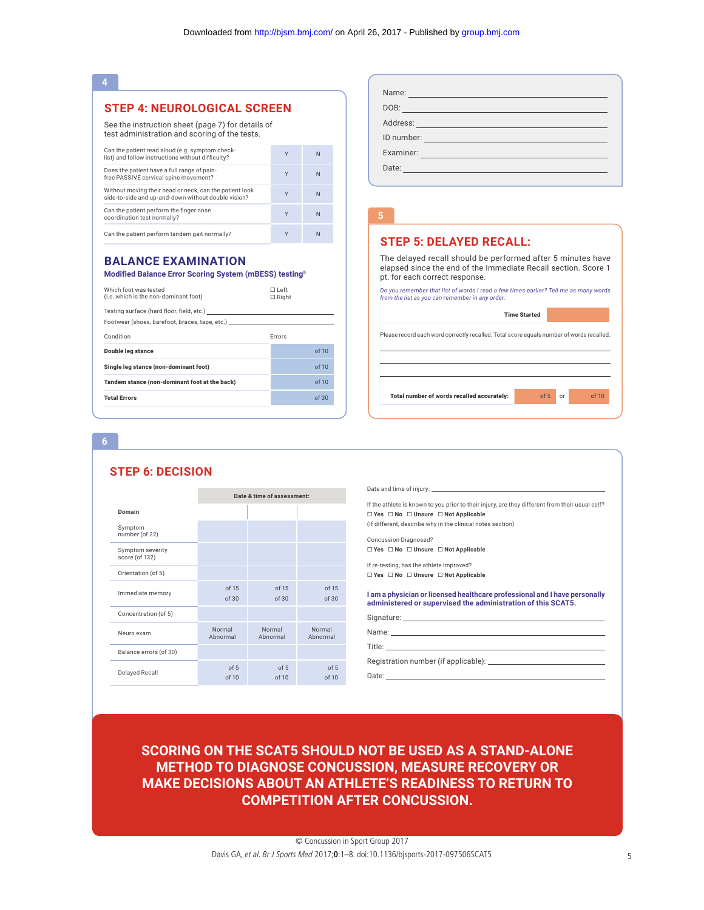### **STEP 4: NEUROLOGICAL SCREEN**

See the instruction sheet (page 7) for details of test administration and scoring of the tests.

| Can the patient read aloud (e.g. symptom check-<br>list) and follow instructions without difficulty?           | Y | N |
|----------------------------------------------------------------------------------------------------------------|---|---|
| Does the patient have a full range of pain-<br>free PASSIVE cervical spine movement?                           | Y | N |
| Without moving their head or neck, can the patient look<br>side-to-side and up-and-down without double vision? | Y | N |
| Can the patient perform the finger nose<br>coordination test normally?                                         | Y | N |
| Can the patient perform tandem gait normally?                                                                  | γ | N |

### **BALANCE EXAMINATION**

### **Modified Balance Error Scoring System (mBESS) testing5**

| Which foot was tested<br>(i.e. which is the non-dominant foot)                              | $\Box$ Left<br>$\Box$ Right |
|---------------------------------------------------------------------------------------------|-----------------------------|
| Testing surface (hard floor, field, etc.)<br>Footwear (shoes, barefoot, braces, tape, etc.) |                             |
| Condition                                                                                   | <b>Errors</b>               |
| Double leg stance                                                                           | of 10                       |
| Single leg stance (non-dominant foot)                                                       | of 10                       |
| Tandem stance (non-dominant foot at the back)                                               | of 10                       |
| <b>Total Errors</b>                                                                         | of 30                       |

# Name: DOB: Address: ID number: <u>Alexander and Alexander and Alexander and Alexander and Alexander and Alexander and Alexander and A</u> Examiner: Date:

### **STEP 5: DELAYED RECALL:**

The delayed recall should be performed after 5 minutes have elapsed since the end of the Immediate Recall section. Score 1 pt. for each correct response.

*Do you remember that list of words I read a few times earlier? Tell me as many words from the list as you can remember in any order.*

|                                                                                          | <b>Time Started</b> |      |       |
|------------------------------------------------------------------------------------------|---------------------|------|-------|
| Please record each word correctly recalled. Total score equals number of words recalled. |                     |      |       |
|                                                                                          |                     |      |       |
|                                                                                          |                     |      |       |
| Total number of words recalled accurately:                                               | of 5                | l or | of 10 |

#### **6**

### **STEP 6: DECISION**

| Date & time of assessment: |                    |                    |  |  |
|----------------------------|--------------------|--------------------|--|--|
|                            |                    |                    |  |  |
|                            |                    |                    |  |  |
|                            |                    |                    |  |  |
|                            |                    |                    |  |  |
| of 15<br>of 30             | of 15<br>of 30     | of 15<br>of 30     |  |  |
|                            |                    |                    |  |  |
| Normal<br>Abnormal         | Normal<br>Abnormal | Normal<br>Abnormal |  |  |
|                            |                    |                    |  |  |
| of 5<br>of 10              | of 5<br>of 10      | of 5<br>of 10      |  |  |
|                            |                    |                    |  |  |

Date and time of injury:

If the athlete is known to you prior to their injury, are they different from their usual self?  **Yes No Unsure Not Applicable**

(If different, describe why in the clinical notes section)

Concussion Diagnosed?

 **Yes No Unsure Not Applicable**

If re-testing, has the athlete improved?  **Yes No Unsure Not Applicable**

**I am a physician or licensed healthcare professional and I have personally administered or supervised the administration of this SCAT5.**

Signature: Name:

Title:

Date:

Registration number (if applicable):

## **SCORING ON THE SCAT5 SHOULD NOT BE USED AS A STAND-ALONE METHOD TO DIAGNOSE CONCUSSION, MEASURE RECOVERY OR MAKE DECISIONS ABOUT AN ATHLETE'S READINESS TO RETURN TO COMPETITION AFTER CONCUSSION.**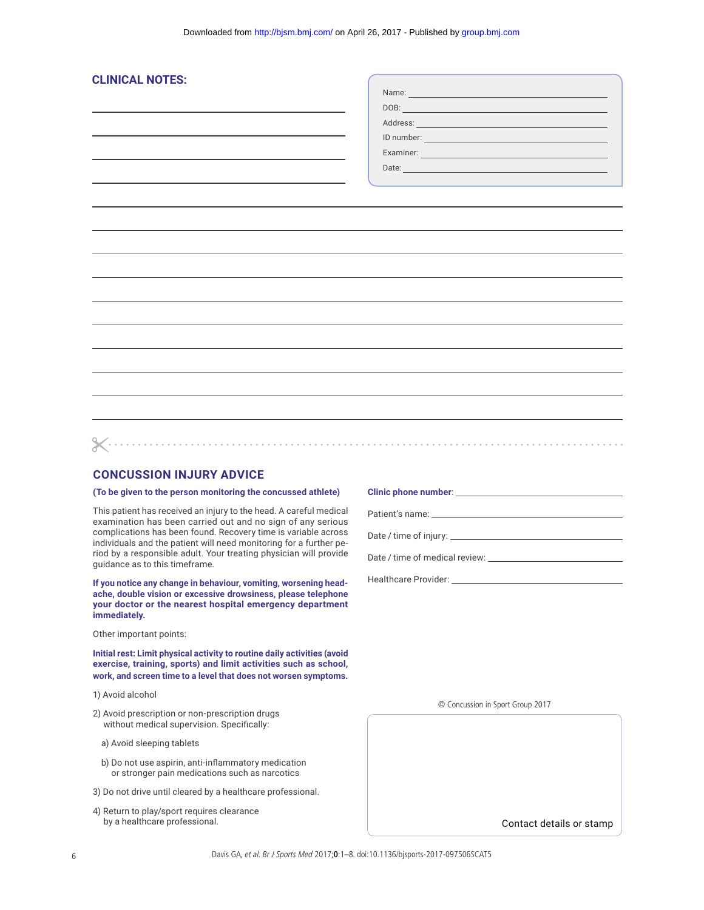### **CLINICAL NOTES:**

| Name:<br><u> 1989 - Jan Sterlinger, fransk politiker (d. 1989)</u>                                                             |  |
|--------------------------------------------------------------------------------------------------------------------------------|--|
| DOB:<br>and the control of the control of the control of the control of the control of the control of                          |  |
| Address: Address: Address: Address: Address: Address: Address: Address: Address: Address: Address: A                           |  |
| ID number:<br>and the control of the control of the control of the control of the control of the control of the control of the |  |
| Examiner:                                                                                                                      |  |
| Date:                                                                                                                          |  |
|                                                                                                                                |  |

# **CONCUSSION INJURY ADVICE**

### **(To be given to the person monitoring the concussed athlete)**

This patient has received an injury to the head. A careful medical examination has been carried out and no sign of any serious complications has been found. Recovery time is variable across individuals and the patient will need monitoring for a further period by a responsible adult. Your treating physician will provide guidance as to this timeframe.

**If you notice any change in behaviour, vomiting, worsening headache, double vision or excessive drowsiness, please telephone your doctor or the nearest hospital emergency department immediately.**

#### Other important points:

**Initial rest: Limit physical activity to routine daily activities (avoid exercise, training, sports) and limit activities such as school, work, and screen time to a level that does not worsen symptoms.**

- 1) Avoid alcohol
- 2) Avoid prescription or non-prescription drugs without medical supervision. Specifically:
- a) Avoid sleeping tablets
- b) Do not use aspirin, anti-inflammatory medication or stronger pain medications such as narcotics
- 3) Do not drive until cleared by a healthcare professional.
- 4) Return to play/sport requires clearance by a healthcare professional.

### **Clinic phone number**:

Patient's name:

Date / time of injury: \_\_\_\_\_\_\_

Date / time of medical review: \_\_

Healthcare Provider: \_\_

### © Concussion in Sport Group 2017

Contact details or stamp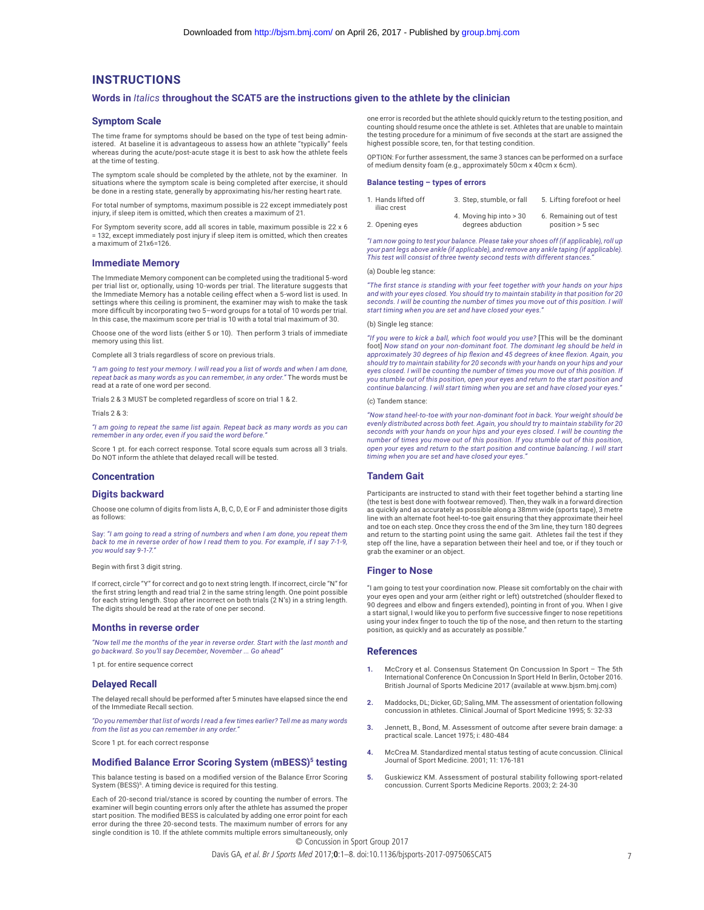### **INSTRUCTIONS**

#### **Words in** *Italics* **throughout the SCAT5 are the instructions given to the athlete by the clinician**

#### **Symptom Scale**

The time frame for symptoms should be based on the type of test being administered. At baseline it is advantageous to assess how an athlete "typically" feels whereas during the acute/post-acute stage it is best to ask how the athlete feels at the time of testing.

The symptom scale should be completed by the athlete, not by the examiner. In situations where the symptom scale is being completed after exercise, it should be done in a resting state, generally by approximating his/her resting heart rate.

For total number of symptoms, maximum possible is 22 except immediately post injury, if sleep item is omitted, which then creates a maximum of 21.

For Symptom severity score, add all scores in table, maximum possible is 22 x 6 = 132, except immediately post injury if sleep item is omitted, which then creates a maximum of 21x6=126.

#### **Immediate Memory**

The Immediate Memory component can be completed using the traditional 5-word per trial list or, optionally, using 10-words per trial. The literature suggests that the Immediate Memory has a notable ceiling effect when a 5-word list is used. In settings where this ceiling is prominent, the examiner may wish to make the task more difficult by incorporating two 5–word groups for a total of 10 words per trial. In this case, the maximum score per trial is 10 with a total trial maximum of 30.

Choose one of the word lists (either 5 or 10). Then perform 3 trials of immediate memory using this list.

Complete all 3 trials regardless of score on previous trials.

*"I am going to test your memory. I will read you a list of words and when I am done, repeat back as many words as you can remember, in any order."* The words must be read at a rate of one word per second.

Trials 2 & 3 MUST be completed regardless of score on trial 1 & 2.

Trials 2 & 3:

*"I am going to repeat the same list again. Repeat back as many words as you can remember in any order, even if you said the word before."*

Score 1 pt. for each correct response. Total score equals sum across all 3 trials. Do NOT inform the athlete that delayed recall will be tested.

#### **Concentration**

#### **Digits backward**

Choose one column of digits from lists A, B, C, D, E or F and administer those digits as follows:

Say: *"I am going to read a string of numbers and when I am done, you repeat them back to me in reverse order of how I read them to you. For example, if I say 7-1-9, you would say 9-1-7."* 

#### Begin with first 3 digit string.

If correct, circle "Y" for correct and go to next string length. If incorrect, circle "N" for the first string length and read trial 2 in the same string length. One point possible for each string length. Stop after incorrect on both trials (2 N's) in a string length. The digits should be read at the rate of one per second.

#### **Months in reverse order**

*"Now tell me the months of the year in reverse order. Start with the last month and go backward. So you'll say December, November ... Go ahead"*

1 pt. for entire sequence correct

#### **Delayed Recall**

The delayed recall should be performed after 5 minutes have elapsed since the end of the Immediate Recall section.

*"Do you remember that list of words I read a few times earlier? Tell me as many words*  from the list as you can remember in any order.

Score 1 pt. for each correct response

### **Modified Balance Error Scoring System (mBESS)5 testing**

This balance testing is based on a modified version of the Balance Error Scoring System (BESS)<sup>5</sup>. A timing device is required for this testing.

© Concussion in Sport Group 2017 Each of 20-second trial/stance is scored by counting the number of errors. The examiner will begin counting errors only after the athlete has assumed the proper start position. The modified BESS is calculated by adding one error point for each error during the three 20-second tests. The maximum number of errors for any single condition is 10. If the athlete commits multiple errors simultaneously, only

one error is recorded but the athlete should quickly return to the testing position, and counting should resume once the athlete is set. Athletes that are unable to maintain the testing procedure for a minimum of five seconds at the start are assigned the highest possible score, ten, for that testing condition.

OPTION: For further assessment, the same 3 stances can be performed on a surface of medium density foam (e.g., approximately 50cm x 40cm x 6cm).

#### **Balance testing – types of errors**

| 1. Hands lifted off<br>iliac crest | 3. Step, stumble, or fall | 5. Lifting forefoot or heel |
|------------------------------------|---------------------------|-----------------------------|
|                                    | 4. Moving hip into > 30   | 6. Remaining out of test    |
| 2. Opening eyes                    | degrees abduction         | position > 5 sec            |

*"I am now going to test your balance. Please take your shoes off (if applicable), roll up your pant legs above ankle (if applicable), and remove any ankle taping (if applicable). This test will consist of three twenty second tests with different stances."*

#### (a) Double leg stance:

*"The first stance is standing with your feet together with your hands on your hips and with your eyes closed. You should try to maintain stability in that position for 20*  seconds. I will be counting the number of times you move out of this position. I will *start timing when you are set and have closed your eyes."*

#### (b) Single leg stance:

*"If you were to kick a ball, which foot would you use?* [This will be the dominant foot] *Now stand on your non-dominant foot. The dominant leg should be held in approximately 30 degrees of hip flexion and 45 degrees of knee flexion. Again, you*  should try to maintain stability for 20 seconds with your hands on your hips and your<br>eyes closed. I will be counting the number of times you move out of this position. If *you stumble out of this position, open your eyes and return to the start position and continue balancing. I will start timing when you are set and have closed your eyes."* 

#### (c) Tandem stance:

*"Now stand heel-to-toe with your non-dominant foot in back. Your weight should be evenly distributed across both feet. Again, you should try to maintain stability for 20 seconds with your hands on your hips and your eyes closed. I will be counting the number of times you move out of this position. If you stumble out of this position, open your eyes and return to the start position and continue balancing. I will start timing when you are set and have closed your eyes."*

#### **Tandem Gait**

Participants are instructed to stand with their feet together behind a starting line (the test is best done with footwear removed). Then, they walk in a forward direction as quickly and as accurately as possible along a 38mm wide (sports tape), 3 metre line with an alternate foot heel-to-toe gait ensuring that they approximate their heel and toe on each step. Once they cross the end of the 3m line, they turn 180 degrees and return to the starting point using the same gait. Athletes fail the test if they step off the line, have a separation between their heel and toe, or if they touch or grab the examiner or an object.

#### **Finger to Nose**

"I am going to test your coordination now. Please sit comfortably on the chair with your eyes open and your arm (either right or left) outstretched (shoulder flexed to 90 degrees and elbow and fingers extended), pointing in front of you. When I give a start signal, I would like you to perform five successive finger to nose repetitions using your index finger to touch the tip of the nose, and then return to the starting position, as quickly and as accurately as possible."

#### **References**

- **1.** McCrory et al. Consensus Statement On Concussion In Sport The 5th International Conference On Concussion In Sport Held In Berlin, October 2016. British Journal of Sports Medicine 2017 (available at www.bjsm.bmj.com)
- **2.** Maddocks, DL; Dicker, GD; Saling, MM. The assessment of orientation following concussion in athletes. Clinical Journal of Sport Medicine 1995; 5: 32-33
- **3.** Jennett, B., Bond, M. Assessment of outcome after severe brain damage: a practical scale. Lancet 1975; i: 480-484
- **4.** McCrea M. Standardized mental status testing of acute concussion. Clinical Journal of Sport Medicine. 2001; 11: 176-181
- **5.** Guskiewicz KM. Assessment of postural stability following sport-related concussion. Current Sports Medicine Reports. 2003; 2: 24-30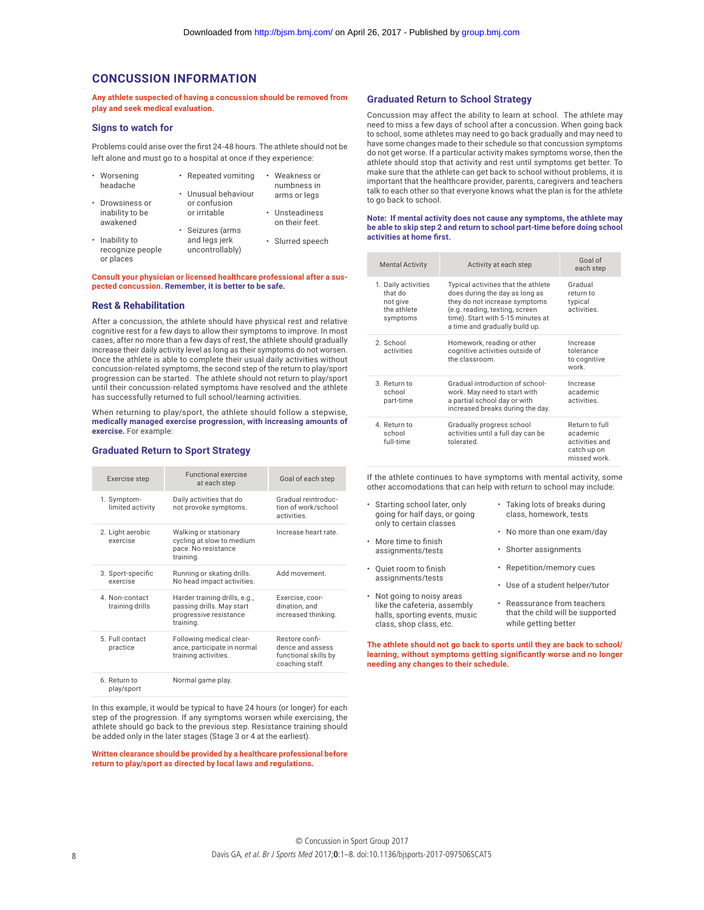### **CONCUSSION INFORMATION**

**Any athlete suspected of having a concussion should be removed from play and seek medical evaluation.**

#### **Signs to watch for**

Problems could arise over the first 24-48 hours. The athlete should not be left alone and must go to a hospital at once if they experience:

- Worsening headache
- Repeated vomiting • Unusual behaviour or confusion or irritable • Weakness or numbness in arms or legs
	- Unsteadiness
- Inability to recognize people or places

• Drowsiness or inability to be awakened

- Seizures (arms and legs jerk on their feet. • Slurred speech
- uncontrollably)

#### **Consult your physician or licensed healthcare professional after a suspected concussion. Remember, it is better to be safe.**

#### **Rest & Rehabilitation**

After a concussion, the athlete should have physical rest and relative cognitive rest for a few days to allow their symptoms to improve. In most cases, after no more than a few days of rest, the athlete should gradually increase their daily activity level as long as their symptoms do not worsen. Once the athlete is able to complete their usual daily activities without concussion-related symptoms, the second step of the return to play/sport progression can be started. The athlete should not return to play/sport until their concussion-related symptoms have resolved and the athlete has successfully returned to full school/learning activities.

When returning to play/sport, the athlete should follow a stepwise, **medically managed exercise progression, with increasing amounts of exercise.** For example:

#### **Graduated Return to Sport Strategy**

| Exercise step                     | <b>Functional exercise</b><br>at each step                                                        | Goal of each step                                                             |
|-----------------------------------|---------------------------------------------------------------------------------------------------|-------------------------------------------------------------------------------|
| 1. Symptom-<br>limited activity   | Daily activities that do<br>not provoke symptoms.                                                 | Gradual reintroduc-<br>tion of work/school<br>activities.                     |
| 2. Light aerobic<br>exercise      | Walking or stationary<br>cycling at slow to medium<br>pace. No resistance<br>training.            | Increase heart rate.                                                          |
| 3. Sport-specific<br>exercise     | Running or skating drills.<br>No head impact activities.                                          | Add movement.                                                                 |
| 4. Non-contact<br>training drills | Harder training drills, e.g.,<br>passing drills. May start<br>progressive resistance<br>training. | Exercise, coor-<br>dination, and<br>increased thinking.                       |
| 5. Full contact<br>practice       | Following medical clear-<br>ance, participate in normal<br>training activities.                   | Restore confi-<br>dence and assess<br>functional skills by<br>coaching staff. |
| 6. Return to<br>play/sport        | Normal game play.                                                                                 |                                                                               |

In this example, it would be typical to have 24 hours (or longer) for each step of the progression. If any symptoms worsen while exercising, the athlete should go back to the previous step. Resistance training should be added only in the later stages (Stage 3 or 4 at the earliest).

**Written clearance should be provided by a healthcare professional before return to play/sport as directed by local laws and regulations.**

#### **Graduated Return to School Strategy**

Concussion may affect the ability to learn at school. The athlete may need to miss a few days of school after a concussion. When going back to school, some athletes may need to go back gradually and may need to have some changes made to their schedule so that concussion symptoms do not get worse. If a particular activity makes symptoms worse, then the athlete should stop that activity and rest until symptoms get better. To make sure that the athlete can get back to school without problems, it is important that the healthcare provider, parents, caregivers and teachers talk to each other so that everyone knows what the plan is for the athlete to go back to school.

#### **Note: If mental activity does not cause any symptoms, the athlete may be able to skip step 2 and return to school part-time before doing school activities at home first.**

| <b>Mental Activity</b>                                                | Activity at each step                                                                                                                                                                                           | Goal of<br>each step                                                       |
|-----------------------------------------------------------------------|-----------------------------------------------------------------------------------------------------------------------------------------------------------------------------------------------------------------|----------------------------------------------------------------------------|
| 1. Daily activities<br>that do<br>not give<br>the athlete<br>symptoms | Typical activities that the athlete<br>does during the day as long as<br>they do not increase symptoms<br>(e.g. reading, texting, screen<br>time). Start with 5-15 minutes at<br>a time and gradually build up. | Gradual<br>return to<br>typical<br>activities.                             |
| 2 School<br>activities                                                | Homework, reading or other<br>cognitive activities outside of<br>the classroom.                                                                                                                                 | Increase<br>tolerance<br>to cognitive<br>work                              |
| 3 Return to<br>school<br>part-time                                    | Gradual introduction of school-<br>work. May need to start with<br>a partial school day or with<br>increased breaks during the day.                                                                             | Increase<br>academic<br>activities.                                        |
| 4 Return to<br>school<br>full-time                                    | Gradually progress school<br>activities until a full day can be<br>tolerated.                                                                                                                                   | Return to full<br>academic<br>activities and<br>catch up on<br>missed work |

If the athlete continues to have symptoms with mental activity, some other accomodations that can help with return to school may include:

> • Shorter assignments • Repetition/memory cues • Use of a student helper/tutor • Reassurance from teachers that the child will be supported

while getting better

- Starting school later, only going for half days, or going only to certain classes • Taking lots of breaks during class, homework, tests • No more than one exam/day
- More time to finish assignments/tests
- Quiet room to finish assignments/tests
- Not going to noisy areas like the cafeteria, assembly halls, sporting events, music class, shop class, etc.

**The athlete should not go back to sports until they are back to school/ learning, without symptoms getting significantly worse and no longer needing any changes to their schedule.**